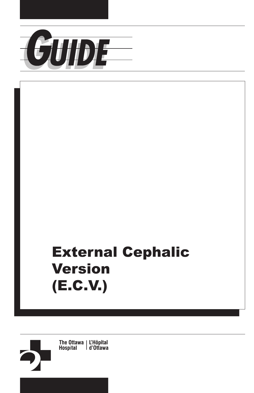

# External Cephalic Version (E.C.V.)

The Ottawa | L'Hôpital<br>Hospital | d'Ottawa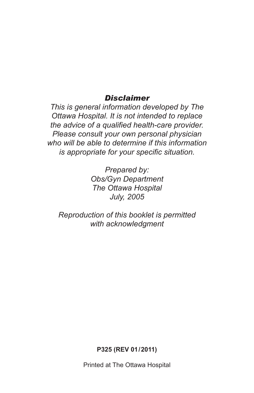#### *Disclaimer*

*This is general information developed by The Ottawa Hospital. It is not intended to replace the advice of a qualified health-care provider. Please consult your own personal physician who will be able to determine if this information is appropriate for your specific situation.*

> *Prepared by: Obs/Gyn Department The Ottawa Hospital July, 2005*

*Reproduction of this booklet is permitted with acknowledgment*

**P325 (REV 01/2011)** 

Printed at The Ottawa Hospital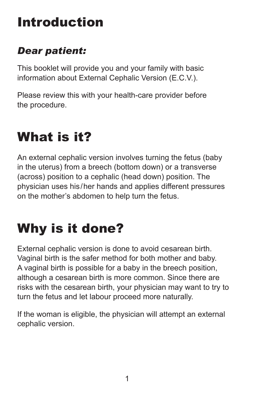# Introduction

#### *Dear patient:*

This booklet will provide you and your family with basic information about External Cephalic Version (E.C.V.).

Please review this with your health-care provider before the procedure.

# What is it?

An external cephalic version involves turning the fetus (baby in the uterus) from a breech (bottom down) or a transverse (across) position to a cephalic (head down) position. The physician uses his/her hands and applies different pressures on the mother's abdomen to help turn the fetus.

# Why is it done?

External cephalic version is done to avoid cesarean birth. Vaginal birth is the safer method for both mother and baby. A vaginal birth is possible for a baby in the breech position, although a cesarean birth is more common. Since there are risks with the cesarean birth, your physician may want to try to turn the fetus and let labour proceed more naturally.

If the woman is eligible, the physician will attempt an external cephalic version.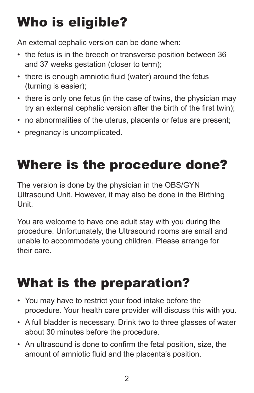# Who is eligible?

An external cephalic version can be done when:

- the fetus is in the breech or transverse position between 36 and 37 weeks gestation (closer to term);
- there is enough amniotic fluid (water) around the fetus (turning is easier);
- there is only one fetus (in the case of twins, the physician may try an external cephalic version after the birth of the first twin);
- no abnormalities of the uterus, placenta or fetus are present;
- pregnancy is uncomplicated.

# Where is the procedure done?

The version is done by the physician in the OBS/GYN Ultrasound Unit. However, it may also be done in the Birthing Unit.

You are welcome to have one adult stay with you during the procedure. Unfortunately, the Ultrasound rooms are small and unable to accommodate young children. Please arrange for their care.

# What is the preparation?

- You may have to restrict your food intake before the procedure. Your health care provider will discuss this with you.
- A full bladder is necessary. Drink two to three glasses of water about 30 minutes before the procedure.
- An ultrasound is done to confirm the fetal position, size, the amount of amniotic fluid and the placenta's position.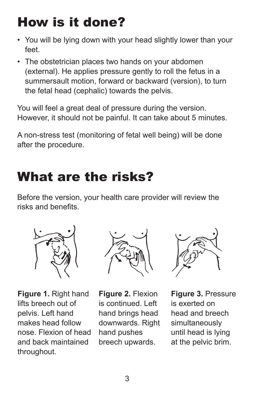# How is it done?

- You will be lying down with your head slightly lower than your feet.
- The obstetrician places two hands on your abdomen (external). He applies pressure gently to roll the fetus in a summersault motion, forward or backward (version), to turn the fetal head (cephalic) towards the pelvis.

You will feel a great deal of pressure during the version. However, it should not be painful. It can take about 5 minutes.

A non-stress test (monitoring of fetal well being) will be done after the procedure.

### What are the risks?

Before the version, your health care provider will review the risks and benefits.



**Figure 1.** Right hand lifts breech out of pelvis. Left hand makes head follow nose. Flexion of head and back maintained throughout.



**Figure 2.** Flexion is continued. Left hand brings head downwards. Right hand pushes breech upwards.



**Figure 3.** Pressure is exerted on head and breech simultaneously until head is lying at the pelvic brim.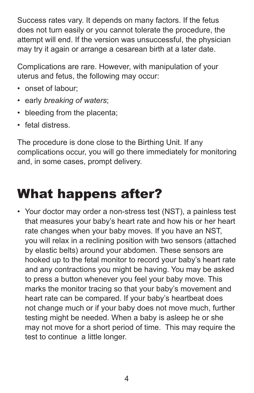Success rates vary. It depends on many factors. If the fetus does not turn easily or you cannot tolerate the procedure, the attempt will end. If the version was unsuccessful, the physician may try it again or arrange a cesarean birth at a later date.

Complications are rare. However, with manipulation of your uterus and fetus, the following may occur:

- onset of labour;
- early *breaking of waters*;
- bleeding from the placenta;
- fetal distress.

The procedure is done close to the Birthing Unit. If any complications occur, you will go there immediately for monitoring and, in some cases, prompt delivery.

### What happens after?

• Your doctor may order a non-stress test (NST), a painless test that measures your baby's heart rate and how his or her heart rate changes when your baby moves. If you have an NST, you will relax in a reclining position with two sensors (attached by elastic belts) around your abdomen. These sensors are hooked up to the fetal monitor to record your baby's heart rate and any contractions you might be having. You may be asked to press a button whenever you feel your baby move. This marks the monitor tracing so that your baby's movement and heart rate can be compared. If your baby's heartbeat does not change much or if your baby does not move much, further testing might be needed. When a baby is asleep he or she may not move for a short period of time. This may require the test to continue a little longer.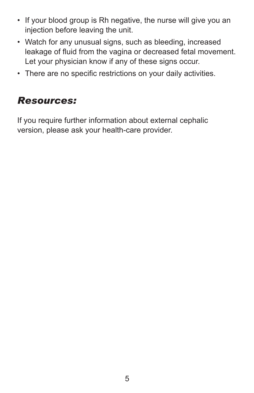- If your blood group is Rh negative, the nurse will give you an injection before leaving the unit.
- Watch for any unusual signs, such as bleeding, increased leakage of fluid from the vagina or decreased fetal movement. Let your physician know if any of these signs occur.
- There are no specific restrictions on your daily activities.

#### *Resources:*

If you require further information about external cephalic version, please ask your health-care provider.